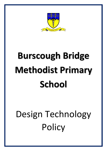

# **Burscough Bridge Methodist Primary School**

# Design Technology **Policy**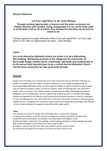#### **Mission Statement**

#### **'Let Your Light Shine To All' (John Wesley)**

#### **Through exciting opportunities in lessons and the wider curriculum our children become well rounded, caring changemakers in our world. Each child is at the heart of all we do to ensure they become the best they can be and are meant to be.**

If doing a good act in public will excite others to do more good then 'Let Your Light Shine To All'. Miss no opportunity to do good - (John Wesley)

#### **Vision**

**As a truly distinctive Methodist school our vision is to be a Welcoming, Worshipping, Witnessing presence in the village and the community. At Burscough Bridge children thrive, emotionally, spiritually and academically to be the person God intended them to be; a school that the Methodist Church and the local community can take great pride through**

### **Intent**

Design and Technology is an intricate part of our day to day lives and it is therefore vital that our children are taught how this subject is of great importance to our rapidly changing world. At Burscough Bridge Methodist school, we encourage the children to think creativity in order to solve real and relevant problems within a variety of contexts, whilst considering their own and other's needs, wants, and values. The children acquire a broad range of subject knowledge and draw on disciplines such as mathematics, science, engineering, computing and art. In Design Technology, children are expected to be reflective and evaluate past and present products as well as investigate its uses and effectiveness. This will enable them to become resourceful, innovative, enterprising and capable citizens. Throughout the evaluation of past and present design and technology, they develop a critical understanding of its impact on daily life and the wider world.

#### **Aims**

The national curriculum for design and technology aims to ensure that all pupils:

- develop the creative, technical and practical expertise needed to perform everyday tasks
- confidently and to participate successfully in an increasingly technological world
- build and apply a repertoire of knowledge, understanding and skills in order to design and make high-quality prototypes and products for a wide range of users
- critique, evaluate and test their ideas and products and the work of others
- understand and apply the principles of nutrition and learn how to cook.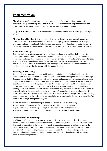# **Implementation**

**Planning:** All staff are briefed on the planning procedures for Design Technology in staff training/meetings and through email communication. Teachers are encouraged to make links to other subject areas, whilst ensuring that children learn explicit subject content.

**Long Term Planning:** The curriculum map outlines the units and focuses to be taught in each year group.

**Medium Term Planning:** Teachers should follow the medium-term plan for each unit of work provided by the DT Association which has a clear plan for progression. Medium term plans provide an overview of each unit of study following the iterative design methodology. As a starting point, teachers should look at the learning content within the National Curriculum for Design Technology.

#### **Short Term Planning:**

Short term planning is the responsibility of individual teachers, who build on their medium-term planning by taking account of the needs of children in their class and identifying the way in which ideas might be taught. It is recommended that teachers annotate their medium-term plan after each lesson and after continual assessment for learning, ensuring fluidity between sessions. This document can then serve as a short-term plan. These plans are solely for the benefit of the class teacher and do not need to be shared with the subject leader.

#### **Teaching and Learning:**

The school uses a variety of teaching and learning styles in Design and Technology lessons. The principal aim is to develop children's knowledge, skills and understanding in Design and Technology. Teachers ensure that the children apply their knowledge and understanding when developing ideas, planning and making products, and then evaluating them. We do this through a mixture of wholeclass teaching and individual or group activities. Within lessons, we give children the opportunity both to work on their own and to collaborate with others, listening to other children's ideas and treating these with respect. Children critically evaluate existing products, their own work and that of others. They have the opportunity to use a wide range of materials and resources, including I.T. In all classes there are children of differing ability. We recognise this fact and provide suitable learning opportunities for all children by matching the challenge of the task to the ability of the child. We achieve this through a range of strategies:

- setting common tasks that are open-ended and can have a variety of results;
- setting tasks of increasing difficulty where not all children complete all tasks;
- providing a range of challenges through the provision of different resources;
- using additional adults to support the work of individual children or small groups.

#### **Assessment and Recording:**

In KS1 and 2, D.T is planned to be taught each week, if possible, to build on skills developed. However, there may be times when the teachers will block units, with one unit in each term, if this links to other subjects and the knowledge from that subject area needs to be in place before the design phase. Units cover the different areas of D.T. in each Key Stage (mechanisms, structures & textiles) with food technology included each year. Focused skills can also be taught as discrete elements where appropriate, normally to reinforce or teach skills that children will be required to apply in forthcoming projects.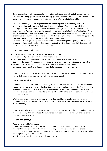To encourage learning through practical application, collaborative work and discussion, work is recorded on a one-page document, with added pages when needed. This enables the children to see the stages of the design process from beginning to end. Work is collated in a folder.

**EYFS –** We encourage the development of skills, knowledge and understanding that help our youngest children make sense of their world as an integral part of the school's work. The development of the children's knowledge and understanding of the world is set out in the Early Learning Goals. This learning forms the foundations for later work in Design and Technology. These early experiences include asking questions about how things work, investigating and using a variety of construction kits, materials, tools and products, developing making skills and handling appropriate tools and construction material safely and with increasing control.

Children learn through a range of experiences and will be encouraged to explore, observe, solve problems, think critically, make decisions and talk about why they have made their decisions and make the most out of their learning opportunities.

Learning experiences will include:

- Constructing learning to construct with a purpose in mind
- Structures and joints learning about structures and joining techniques
- Using a range of tools planning and adapting initial ideas to make them better
- Cooking techniques stirring, mixing, pouring and blending ingredients during cookery activities
- Exploration dismantling things and learning about how everyday things work
- Discussion opportunities to discuss reasons that make activities safe or unsafe.

We encourage children to use skills that they have learnt in their self-initiated product making and to record their experiences by drawing, writing and making models.

#### **Equal Opportunities:**

At our school, we teach Design and Technology to all children, whatever their ability and individual needs. Through our Design and Technology teaching, we provide learning opportunities that enable all pupils to make good progress. We take all reasonable steps to meet the needs of those pupils with special educational needs, disabilities, special gifts and talents and those learning English as an additional language.

We look at a range of factors (classroom organisation, teaching materials, teaching style and differentiation) so that we can take some additional or different action to enable the child to learn more effectively.

It is the responsibility of all teachers to ensure that all pupils, irrespective of gender, ability, including more able pupils, ethnicity and social circumstance, have access to the curriculum and make the greatest progress possible.

#### **Health and Safety:**

#### **Food-hygiene and Safety Issues**

At Burscough Bridge Methodist Primary School, we do not have a Health and Safety Policy specifically for the teaching of Design and Technology. Teachers teach the safe use of tools and equipment and insist on good practice prior to starting a task. However, safety issues do arise when teaching this subject. These include:

The use of electrical equipment such as glue guns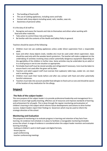- The handling of food stuffs
- The use of cooking appliances, including ovens and hobs
- Contact with sharp objects including wood, nails, needles, saws etc.
- Awareness of personal safety

It is the duty of all staff to:

- Recognise and assess the hazards and risks to themselves and others when working with food and other materials.
- Take action to control these risks and hazards.
- Be familiar with the contents of the Health and Safety Policy in general.

Teachers should be aware of the following:

- Children must not use cooking appliances unless under direct supervision from a responsible adult.
- Saws and other sharp objects (nails, needles etc) must be used under direct supervision. Saws should be used only with the wooden bench protectors. The teacher will make a judgment on the undertaking of activities involving sharp and/or potentially dangerous equipment depending on the age/ability of the children in his/her class. Some activities may be undertaken by an adult or in a small group or one to one situation as appropriate.
- Perishable food stuff must be stored sensibly and refrigerated if necessary. Care must be taken to ensure food is not used after the given sell by date.
- Teachers and adult support staff must oversee that cupboard, table tops, cooker etc. are clean and in working order.
- Children must wash their hands before and after any contact with food and other potentially harmful substances.
- Teachers must take into account possible food allergies to food such as nuts and should be aware of the location of any medication for the allergy.

## **Impact**

#### **The Role of the subject leader:**

The core purpose of the subject leader is to provide professional leadership and management for a subject to secure high-quality teaching, effective use of resources and improve standards of learning and achievement for all pupils. This is done through the regular monitoring and evaluation of children's learning in the subject which informs future developments and actions to drive further success. Subject leaders report their findings to Governors which may be used to inform the strategic direction of the school.

#### **Monitoring and Evaluation**

The purpose of monitoring is to evaluate progress in learning and retention of key facts from learning. An evidence trail schedule is in place to facilitate a manageable monitoring timetable across the school. A range of evidence is considered when the subject leader monitors and evaluates learning including:

- · looking at children's work in both paper and digital formats,
- · lesson pop-ins
- · pupil conferencing
- · teacher conferencing meetings